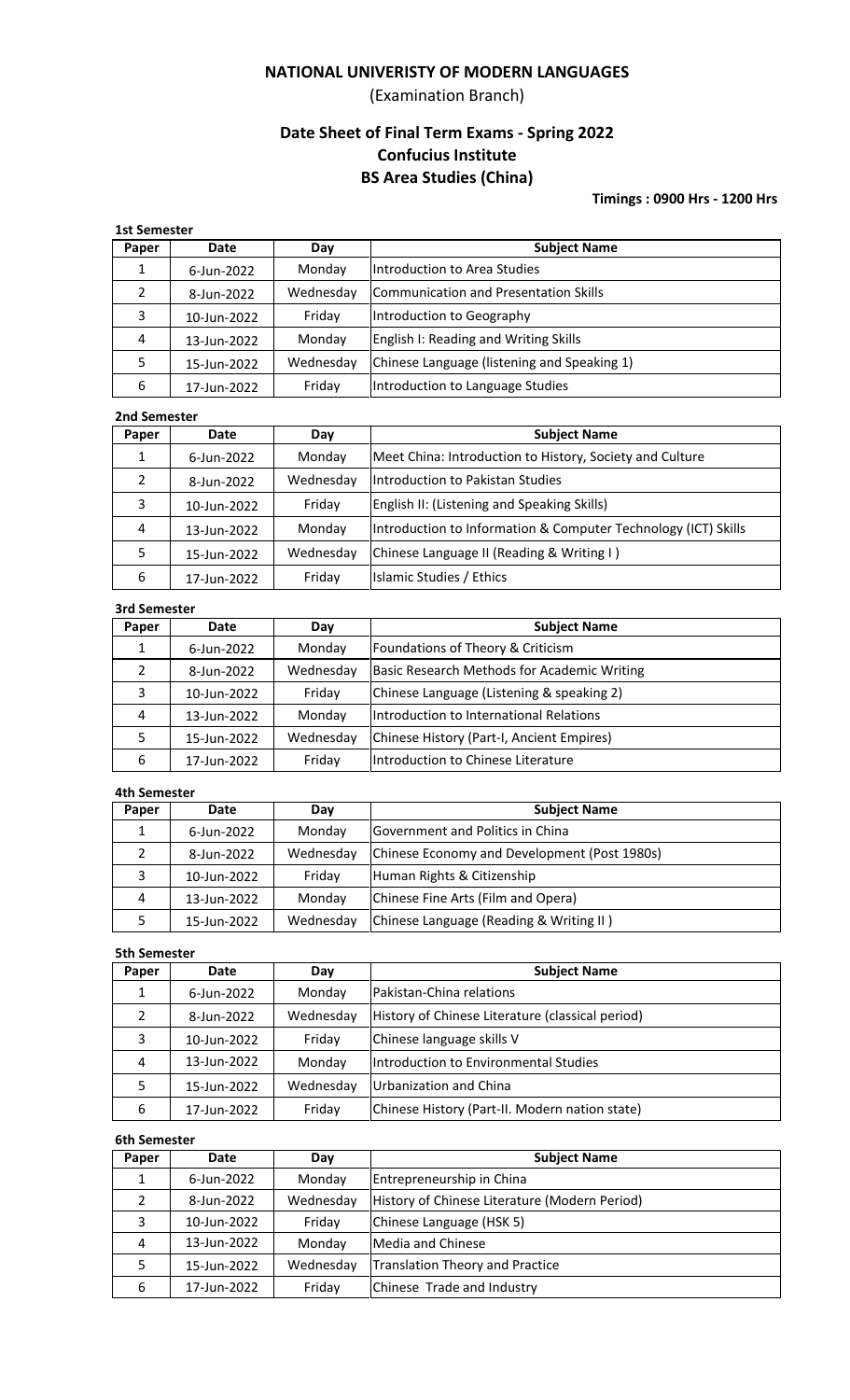## **NATIONAL UNIVERISTY OF MODERN LANGUAGES**

(Examination Branch)

# **Date Sheet of Final Term Exams - Spring 2022 Confucius Institute BS Area Studies (China)**

**Timings : 0900 Hrs - 1200 Hrs**

| <b>1st Semester</b> |             |           |                                              |  |
|---------------------|-------------|-----------|----------------------------------------------|--|
| Paper               | Date        | Day       | <b>Subject Name</b>                          |  |
|                     | 6-Jun-2022  | Monday    | Introduction to Area Studies                 |  |
| 2                   | 8-Jun-2022  | Wednesday | <b>Communication and Presentation Skills</b> |  |
| 3                   | 10-Jun-2022 | Friday    | Introduction to Geography                    |  |
| 4                   | 13-Jun-2022 | Monday    | English I: Reading and Writing Skills        |  |
| 5                   | 15-Jun-2022 | Wednesday | Chinese Language (listening and Speaking 1)  |  |
| 6                   | 17-Jun-2022 | Friday    | Introduction to Language Studies             |  |

### **2nd Semester**

| Paper | Date        | Day       | <b>Subject Name</b>                                            |
|-------|-------------|-----------|----------------------------------------------------------------|
|       | 6-Jun-2022  | Monday    | Meet China: Introduction to History, Society and Culture       |
| 2     | 8-Jun-2022  | Wednesday | Introduction to Pakistan Studies                               |
| 3     | 10-Jun-2022 | Friday    | <b>English II: (Listening and Speaking Skills)</b>             |
| 4     | 13-Jun-2022 | Monday    | Introduction to Information & Computer Technology (ICT) Skills |
|       | 15-Jun-2022 | Wednesday | Chinese Language II (Reading & Writing I)                      |
| 6     | 17-Jun-2022 | Friday    | Islamic Studies / Ethics                                       |

## **3rd Semester**

| Paper | <b>Date</b> | Day       | <b>Subject Name</b>                         |
|-------|-------------|-----------|---------------------------------------------|
|       | 6-Jun-2022  | Monday    | Foundations of Theory & Criticism           |
| 2     | 8-Jun-2022  | Wednesday | Basic Research Methods for Academic Writing |
| 3     | 10-Jun-2022 | Friday    | Chinese Language (Listening & speaking 2)   |
| 4     | 13-Jun-2022 | Monday    | Introduction to International Relations     |
|       | 15-Jun-2022 | Wednesday | Chinese History (Part-I, Ancient Empires)   |
| 6     | 17-Jun-2022 | Friday    | Introduction to Chinese Literature          |

#### **4th Semester**

| Paper | Date        | Day       | <b>Subject Name</b>                          |
|-------|-------------|-----------|----------------------------------------------|
|       | 6-Jun-2022  | Monday    | Government and Politics in China             |
|       | 8-Jun-2022  | Wednesday | Chinese Economy and Development (Post 1980s) |
| 3     | 10-Jun-2022 | Fridav    | Human Rights & Citizenship                   |
| 4     | 13-Jun-2022 | Monday    | Chinese Fine Arts (Film and Opera)           |
|       | 15-Jun-2022 | Wednesday | Chinese Language (Reading & Writing II)      |

### **5th Semester**

| Paper | Date        | Day       | <b>Subject Name</b>                              |
|-------|-------------|-----------|--------------------------------------------------|
|       | 6-Jun-2022  | Monday    | <b>IPakistan-China relations</b>                 |
| າ     | 8-Jun-2022  | Wednesday | History of Chinese Literature (classical period) |
| 3     | 10-Jun-2022 | Friday    | Chinese language skills V                        |
| 4     | 13-Jun-2022 | Monday    | Introduction to Environmental Studies            |
|       | 15-Jun-2022 | Wednesday | Urbanization and China                           |
| 6     | 17-Jun-2022 | Friday    | Chinese History (Part-II. Modern nation state)   |

### **6th Semester**

| Date        | Day       | <b>Subject Name</b>                           |  |  |  |
|-------------|-----------|-----------------------------------------------|--|--|--|
| 6-Jun-2022  | Monday    | Entrepreneurship in China                     |  |  |  |
| 8-Jun-2022  | Wednesday | History of Chinese Literature (Modern Period) |  |  |  |
| 10-Jun-2022 | Friday    | Chinese Language (HSK 5)                      |  |  |  |
| 13-Jun-2022 | Monday    | Media and Chinese                             |  |  |  |
| 15-Jun-2022 | Wednesday | Translation Theory and Practice               |  |  |  |
| 17-Jun-2022 | Friday    | Chinese Trade and Industry                    |  |  |  |
|             |           |                                               |  |  |  |